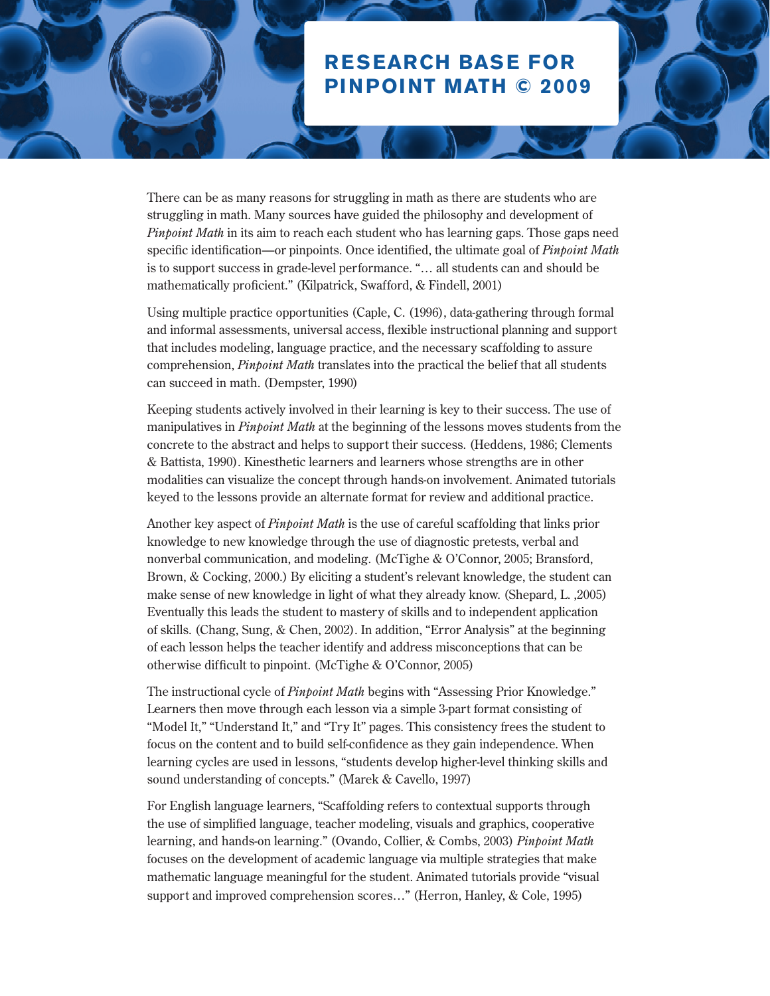## **Research Base for Pinpoint Math © 2009**

There can be as many reasons for struggling in math as there are students who are struggling in math. Many sources have guided the philosophy and development of *Pinpoint Math* in its aim to reach each student who has learning gaps. Those gaps need specific identification—or pinpoints. Once identified, the ultimate goal of *Pinpoint Math* is to support success in grade-level performance. "… all students can and should be mathematically proficient." (Kilpatrick, Swafford, & Findell, 2001)

Using multiple practice opportunities (Caple, C. (1996), data-gathering through formal and informal assessments, universal access, flexible instructional planning and support that includes modeling, language practice, and the necessary scaffolding to assure comprehension, *Pinpoint Math* translates into the practical the belief that all students can succeed in math. (Dempster, 1990)

Keeping students actively involved in their learning is key to their success. The use of manipulatives in *Pinpoint Math* at the beginning of the lessons moves students from the concrete to the abstract and helps to support their success. (Heddens, 1986; Clements & Battista, 1990). Kinesthetic learners and learners whose strengths are in other modalities can visualize the concept through hands-on involvement. Animated tutorials keyed to the lessons provide an alternate format for review and additional practice.

Another key aspect of *Pinpoint Math* is the use of careful scaffolding that links prior knowledge to new knowledge through the use of diagnostic pretests, verbal and nonverbal communication, and modeling. (McTighe & O'Connor, 2005; Bransford, Brown, & Cocking, 2000.) By eliciting a student's relevant knowledge, the student can make sense of new knowledge in light of what they already know. (Shepard, L. ,2005) Eventually this leads the student to mastery of skills and to independent application of skills. (Chang, Sung, & Chen, 2002). In addition, "Error Analysis" at the beginning of each lesson helps the teacher identify and address misconceptions that can be otherwise difficult to pinpoint. (McTighe & O'Connor, 2005)

The instructional cycle of *Pinpoint Math* begins with "Assessing Prior Knowledge." Learners then move through each lesson via a simple 3-part format consisting of "Model It," "Understand It," and "Try It" pages. This consistency frees the student to focus on the content and to build self-confidence as they gain independence. When learning cycles are used in lessons, "students develop higher-level thinking skills and sound understanding of concepts." (Marek & Cavello, 1997)

For English language learners, "Scaffolding refers to contextual supports through the use of simplified language, teacher modeling, visuals and graphics, cooperative learning, and hands-on learning." (Ovando, Collier, & Combs, 2003) *Pinpoint Math* focuses on the development of academic language via multiple strategies that make mathematic language meaningful for the student. Animated tutorials provide "visual support and improved comprehension scores…" (Herron, Hanley, & Cole, 1995)